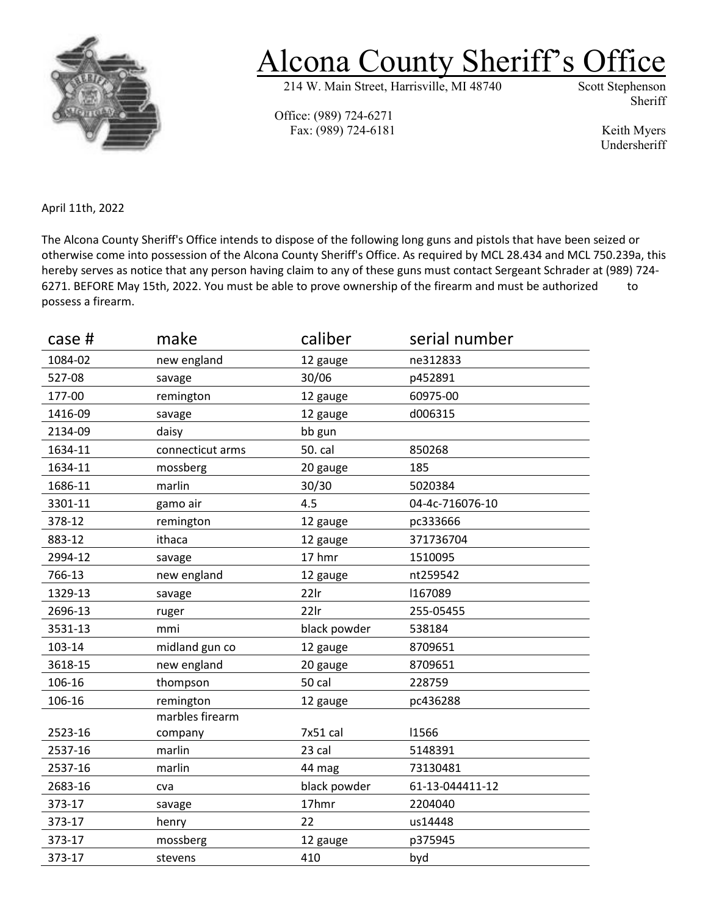

## Alcona County Sheriff's Office

214 W. Main Street, Harrisville, MI 48740

Sheriff

Office: (989) 724-6271 Fax: (989) 724-6181 Keith Myers

Undersheriff

April 11th, 2022

The Alcona County Sheriff's Office intends to dispose of the following long guns and pistols that have been seized or otherwise come into possession of the Alcona County Sheriff's Office. As required by MCL 28.434 and MCL 750.239a, this hereby serves as notice that any person having claim to any of these guns must contact Sergeant Schrader at (989) 724- 6271. BEFORE May 15th, 2022. You must be able to prove ownership of the firearm and must be authorized to possess a firearm.

| case #  | make             | caliber      | serial number   |
|---------|------------------|--------------|-----------------|
| 1084-02 | new england      | 12 gauge     | ne312833        |
| 527-08  | savage           | 30/06        | p452891         |
| 177-00  | remington        | 12 gauge     | 60975-00        |
| 1416-09 | savage           | 12 gauge     | d006315         |
| 2134-09 | daisy            | bb gun       |                 |
| 1634-11 | connecticut arms | 50. cal      | 850268          |
| 1634-11 | mossberg         | 20 gauge     | 185             |
| 1686-11 | marlin           | 30/30        | 5020384         |
| 3301-11 | gamo air         | 4.5          | 04-4c-716076-10 |
| 378-12  | remington        | 12 gauge     | pc333666        |
| 883-12  | ithaca           | 12 gauge     | 371736704       |
| 2994-12 | savage           | 17 hmr       | 1510095         |
| 766-13  | new england      | 12 gauge     | nt259542        |
| 1329-13 | savage           | $22$ lr      | 1167089         |
| 2696-13 | ruger            | $22$ lr      | 255-05455       |
| 3531-13 | mmi              | black powder | 538184          |
| 103-14  | midland gun co   | 12 gauge     | 8709651         |
| 3618-15 | new england      | 20 gauge     | 8709651         |
| 106-16  | thompson         | 50 cal       | 228759          |
| 106-16  | remington        | 12 gauge     | pc436288        |
|         | marbles firearm  |              |                 |
| 2523-16 | company          | 7x51 cal     | 11566           |
| 2537-16 | marlin           | 23 cal       | 5148391         |
| 2537-16 | marlin           | 44 mag       | 73130481        |
| 2683-16 | cva              | black powder | 61-13-044411-12 |
| 373-17  | savage           | 17hmr        | 2204040         |
| 373-17  | henry            | 22           | us14448         |
| 373-17  | mossberg         | 12 gauge     | p375945         |
| 373-17  | stevens          | 410          | byd             |
|         |                  |              |                 |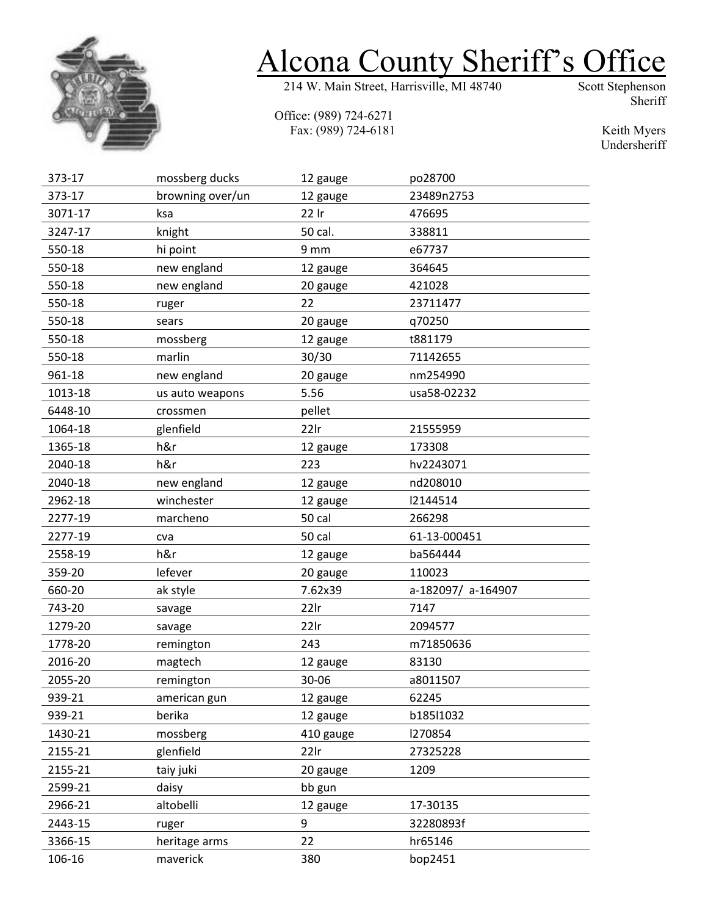

## Alcona County Sheriff's Office

Office: (989) 724-6271 Fax: (989) 724-6181 Sheriff

Keith Myers Undersheriff

| 373-17  | mossberg ducks   | 12 gauge  | po28700            |
|---------|------------------|-----------|--------------------|
| 373-17  | browning over/un | 12 gauge  | 23489n2753         |
| 3071-17 | ksa              | 22 Ir     | 476695             |
| 3247-17 | knight           | 50 cal.   | 338811             |
| 550-18  | hi point         | 9 mm      | e67737             |
| 550-18  | new england      | 12 gauge  | 364645             |
| 550-18  | new england      | 20 gauge  | 421028             |
| 550-18  | ruger            | 22        | 23711477           |
| 550-18  | sears            | 20 gauge  | q70250             |
| 550-18  | mossberg         | 12 gauge  | t881179            |
| 550-18  | marlin           | 30/30     | 71142655           |
| 961-18  | new england      | 20 gauge  | nm254990           |
| 1013-18 | us auto weapons  | 5.56      | usa58-02232        |
| 6448-10 | crossmen         | pellet    |                    |
| 1064-18 | glenfield        | $22$ lr   | 21555959           |
| 1365-18 | h&r              | 12 gauge  | 173308             |
| 2040-18 | h&r              | 223       | hv2243071          |
| 2040-18 | new england      | 12 gauge  | nd208010           |
| 2962-18 | winchester       | 12 gauge  | 12144514           |
| 2277-19 | marcheno         | 50 cal    | 266298             |
| 2277-19 | cva              | 50 cal    | 61-13-000451       |
| 2558-19 | h&r              | 12 gauge  | ba564444           |
| 359-20  | lefever          | 20 gauge  | 110023             |
| 660-20  | ak style         | 7.62x39   | a-182097/ a-164907 |
| 743-20  | savage           | $22$ lr   | 7147               |
| 1279-20 | savage           | $22$ lr   | 2094577            |
| 1778-20 | remington        | 243       | m71850636          |
| 2016-20 | magtech          | 12 gauge  | 83130              |
| 2055-20 | remington        | 30-06     | a8011507           |
| 939-21  | american gun     | 12 gauge  | 62245              |
| 939-21  | berika           | 12 gauge  | b185l1032          |
| 1430-21 | mossberg         | 410 gauge | 1270854            |
| 2155-21 | glenfield        | $22$ lr   | 27325228           |
| 2155-21 | taiy juki        | 20 gauge  | 1209               |
| 2599-21 | daisy            | bb gun    |                    |
| 2966-21 | altobelli        | 12 gauge  | 17-30135           |
| 2443-15 | ruger            | 9         | 32280893f          |
| 3366-15 | heritage arms    | 22        | hr65146            |
| 106-16  | maverick         | 380       | bop2451            |